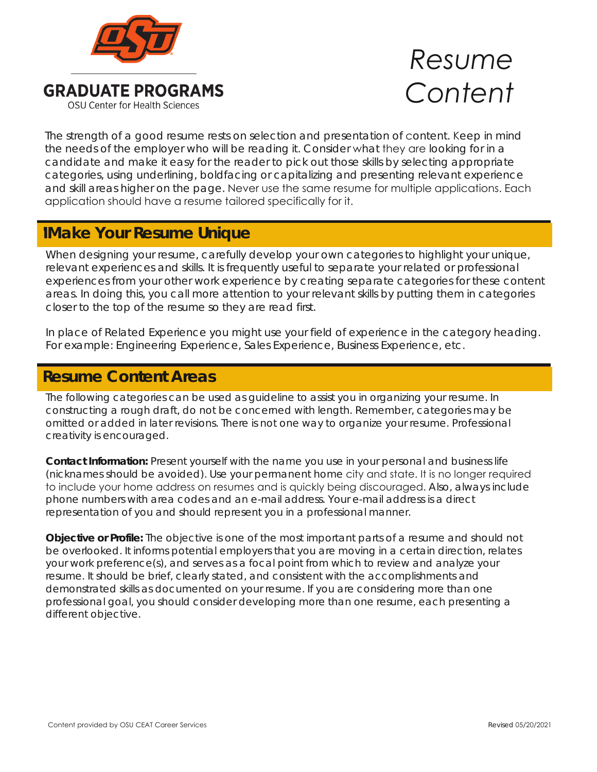

**GRADUATE PROGRAMS OSU Center for Health Sciences** 

## *Resume Content*

The strength of a good resume rests on selection and presentation of content. Keep in mind the needs of the employer who will be reading it. Consider what they are looking for in a candidate and make it easy for the reader to pick out those skills by selecting appropriate categories, using underlining, boldfacing or capitalizing and presenting relevant experience and skill areas higher on the page. Never use the same resume for multiple applications. Each application should have a resume tailored specifically for it.

## **Make Your Resume Unique**

When designing your resume, carefully develop your own categories to highlight your unique, relevant experiences and skills. It is frequently useful to separate your related or professional experiences from your other work experience by creating separate categories for these content areas. In doing this, you call more attention to your relevant skills by putting them in categories closer to the top of the resume so they are read first.

In place of Related Experience you might use your field of experience in the category heading. For example: Engineering Experience, Sales Experience, Business Experience, etc.

## **Resume Content Areas Resume Content Areas**

The following categories can be used as guideline to assist you in organizing your resume. In constructing a rough draft, do not be concerned with length. Remember, categories may be omitted or added in later revisions. There is not one way to organize your resume. Professional creativity is encouraged.

**Contact Information:** Present yourself with the name you use in your personal and business life (nicknames should be avoided). Use your permanent home city and state. It is no longer required to include your home address on resumes and is quickly being discouraged. Also, always include phone numbers with area codes and an e-mail address. Your e-mail address is a direct representation of you and should represent you in a professional manner.

**Objective or Profile:** The objective is one of the most important parts of a resume and should not be overlooked. It informs potential employers that you are moving in a certain direction, relates your work preference(s), and serves as a focal point from which to review and analyze your resume. It should be brief, clearly stated, and consistent with the accomplishments and demonstrated skills as documented on your resume. If you are considering more than one professional goal, you should consider developing more than one resume, each presenting a different objective.